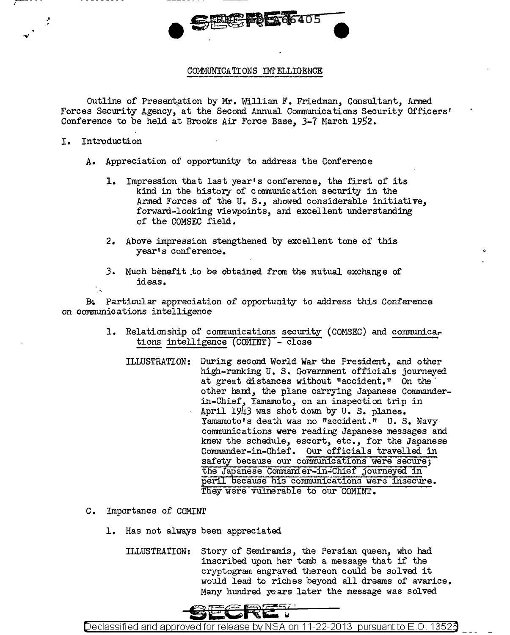

## COMMUNICATIONS INI'ELLIGENCE

Outline of Presentation by Mr. William F. Friedman, Consultant, Armed Forces Security Agency, at the Second Annual Communications Security Officers' Conference to be held at Brooks Air Force Base, 3-7 March 1952.

## I. Introduction

--- - - <sup>f</sup>

 $\ddot{\phantom{0}}$ 

..

- A. Appreciation of opportunity to address the Conference
	- 1. Impression that last year's conference, the first of its kind in the history of communication security in the Armed Forces of the U.S., showed considerable initiative, forward-looking viewpoints, and excellent understanding of the COMSEC field.
	- 2. Above impression stengthened by excellent tone of this year's conference.
	- J. Much benefit .to be obtained from the mutual exchange of ideas.

&• Particular appreciation of opportunity to address this Conference on communications intelligence

1. Relationship of communications security (COMSEC) and communica-<br>tions intelligence (COMINT) - close

0

- ILLUSTRATION: During second World War the President, and other high-ranking U.S. Government officials journeyed at great distances without "accident." On the *other hand*, the plane carrying Japanese Commanderin-Chief, Yamamoto, on an inspection trip in April 1943 was shot down by U. S. planes. Yamamoto's death was no "accident." U. S. Navy communications were reading Japanese messages and knew the schedule, escort, etc., for the Japanese Commander-in-Chief. Our officials travelled in safety because our communications were secure; the Japanese Commander-in-Chief journeyed in peril because his communications were insecure. They were vulnerable to our COMINT.
- C. Importance of COMINT
	- 1. Has not always been appreciated
		- ILLUSTRATION: Story of Semiramis, the Persian queen, who had inscribed upon her tomb a message that if the cryptogram engraved thereon could be solved it would lead to riches beyond all dreams of avarice. Many hundred years later the message was solved



Declassified and approved for release by NSA on 11-22-2013 pursuant to E.O.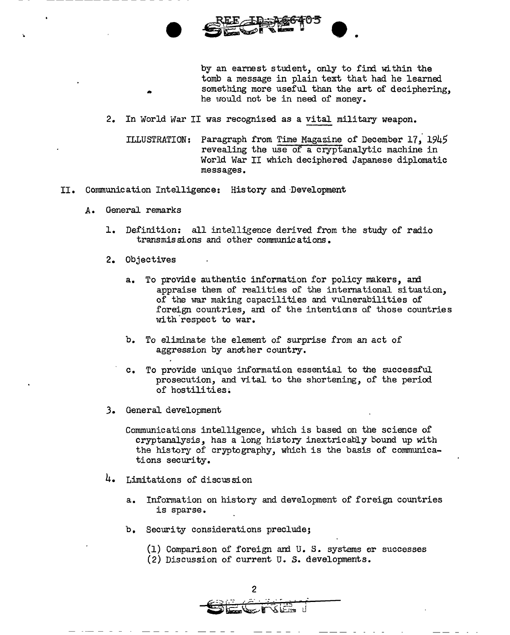

by an earnest student, only to find within the tomb a message in plain text that had he learned something more useful than the art of deciphering, he would not be in need of money.

- 2. In World War II was recognized as a vital military weapon.
	- ILLUSTRATION: Paragraph from Time Magazine of December 17, 1945 revealing the use of a cryptanalytic machine in World War II which deciphered Japanese diplomatic messages.
- II. Communication Intelligence: History and Development
	- A. General remarks

•

- 1. Definition: all intelligence derived from the study of radio transmissions and other communications.
- 2. Objectives
	- a. To provide authentic information for policy makers, and appraise them of realities of the international situation, of the war making capacilities and vulnerabilities of foreign countries, and of the intentions of those countries with respect to war.
	- b. To eliminate the element of surprise from an act of aggression by another country.
	- To provide unique information essential to the successful prosecution, and vital to the shortening, of the period of hostilities;.
- 3. General development

Communications intelligence, which is based on the science of cryptanalysis, has a long history inextricably bound up with the history of cryptography, which is the basis of communications security.

- 4. Limitations of discussion
	- a. Information on history and development of foreign countries is sparse.
	- b. Security considerations preclude;
		- $(1)$  Comparison of foreign and U. S. systems or successes
		- (2) Discussion of current U. s. developments.

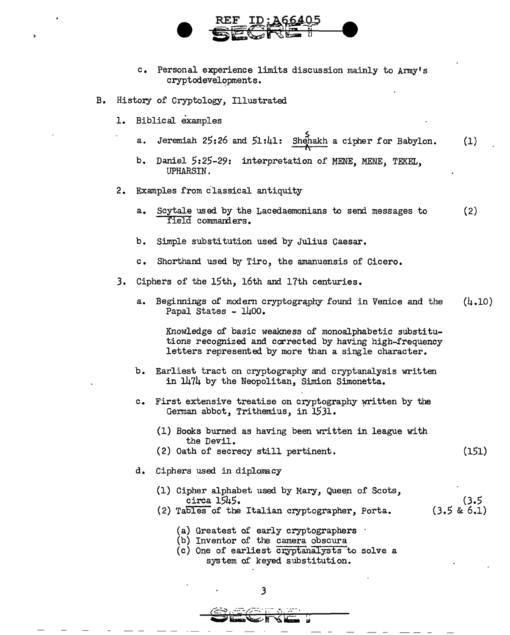

- c. Personal experience limits discussion mainly to Army's cryptodevelopments.
- B. History of Cryptology, Illustrated
	- 1. Biblical examples
		- a. Jeremiah  $25:26$  and  $51:41:$  Shehakh a cipher for Babylon.  $\mathbf{v}_\parallel$ (1)
		- b. Daniel 5:25-29: interpretation of MENE, MENE, TEKEL, UPHARSIN.
	- 2. Examples from classical antiquity
		- a. Scytale used by the Lacedaemonians to send messages to (2) field commanders.
		- b. Simple substitution used by Julius Caesar.
		- c. Shorthand used by Tiro, the amanuensis of Cicero.
	- 3. Ciphers of the 15th, 16th and 17th centuries.
		- a. Beginnings of modern cryptography found in Venice and the Papal States - 1400. (4.10)

Knowledge of basic weakness of monoalphabetic substitutions recognized and corrected by having high-frequency letters represented by more than a single character.

- b. Earliest tract on cryptography and cryptanalysis written in 1474 by the Neopolitan, Simion Simonetta.
- c. First extensive treatise on cryptography written by the German abbot, Trithemius, in 1531.
	- $(1)$  Books burned as having been written in league with the Devil.
	- (2) Oath of secrecy still pertinent. (151)
- d. Ciphers used in diplomacy
	- $(1)$  Cipher alphabet used by Mary, Queen of Scots, circa 1545. (3.5 (3.5 & 6.1)
	- (2) Tables of the Italian cryptographer, Porta.
		- (a) Greatest of early cryptographers · (b) Inventor of the camera obscura
		-
		- (c) One of earliest cryptanalysts to solve a system of keyed substitution.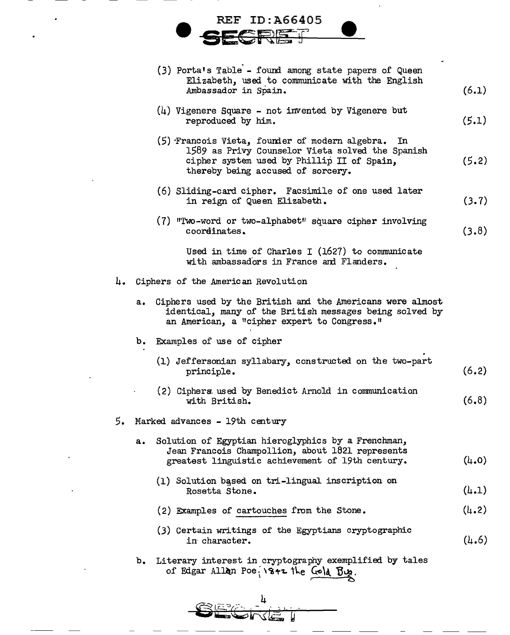|               | <b>REF ID: A66405</b><br><b>ASE</b>                                                                                                                                                         |                   |
|---------------|---------------------------------------------------------------------------------------------------------------------------------------------------------------------------------------------|-------------------|
|               | (3) Porta's Table - found among state papers of Queen<br>Elizabeth, used to communicate with the English<br>Ambassador in Spain.                                                            | (6.1)             |
|               | $(4)$ Vigenere Square - not invented by Vigenere but<br>reproduced by him.                                                                                                                  | (5.1)             |
|               | (5) Francois Vieta, founder of modern algebra.<br>In<br>1589 as Privy Counselor Vieta solved the Spanish<br>cipher system used by Phillip II of Spain,<br>thereby being accused of sorcery. | (5.2)             |
|               | (6) Sliding-card cipher. Facsimile of one used later<br>in reign of Queen Elizabeth.                                                                                                        | (3.7)             |
|               | (7) "Two-word or two-alphabet" square cipher involving<br>coordinates.                                                                                                                      | (3.8)             |
|               | Used in time of Charles $I(1627)$ to communicate<br>with ambassadors in France and Flanders.                                                                                                |                   |
|               | 4. Ciphers of the American Revolution                                                                                                                                                       |                   |
| a.            | Ciphers used by the British and the Americans were almost<br>identical, many of the British messages being solved by<br>an American, a "cipher expert to Congress."                         |                   |
| b.            | Examples of use of cipher                                                                                                                                                                   |                   |
|               | (1) Jeffersonian syllabary, constructed on the two-part<br>principle.                                                                                                                       | (6.2)             |
|               | (2) Ciphers used by Benedict Arnold in communication<br>with British.                                                                                                                       | (6,8)             |
| 5.            | Marked advances - 19th century                                                                                                                                                              |                   |
| $a_{\bullet}$ | Solution of Egyptian hieroglyphics by a Frenchman,<br>Jean Francois Champollion, about 1821 represents<br>greatest linguistic achievement of 19th century.                                  | (4.0)             |
|               | (1) Solution based on tri-lingual inscription on<br>Rosetta Stone.                                                                                                                          | $(l_{\bullet}.1)$ |
|               | (2) Examples of cartouches from the Stone.                                                                                                                                                  | (4.2)             |
|               | (3) Certain writings of the Egyptians cryptographic<br>in character.                                                                                                                        | (4.6)             |

b. Literary interest in cryptography exemplified by tales of Edgar Allen Poe, 1842 the Gold Bug.

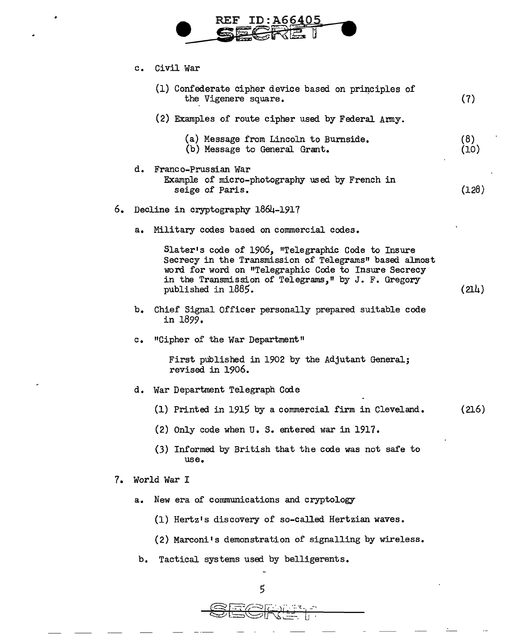

c. Civil war

 $\cdot$ 

 $\bullet$ 

|    |                | (1) Confederate cipher device based on principles of<br>the Vigenere square.                                                                                                                                                                      | (7)         |
|----|----------------|---------------------------------------------------------------------------------------------------------------------------------------------------------------------------------------------------------------------------------------------------|-------------|
|    |                | (2) Examples of route cipher used by Federal Army.                                                                                                                                                                                                |             |
|    |                | (a) Message from Lincoln to Burnside.<br>(b) Message to General Grant.                                                                                                                                                                            | (8)<br>(10) |
|    |                | d. Franco-Prussian War<br>Example of micro-photography used by French in<br>seige of Paris.                                                                                                                                                       | (128)       |
| 6. |                | Decline in cryptography 1864-1917                                                                                                                                                                                                                 |             |
|    | a.             | Military codes based on commercial codes.                                                                                                                                                                                                         |             |
|    |                | Slater's code of 1906, "Telegraphic Code to Insure<br>Secrecy in the Transmission of Telegrams" based almost<br>word for word on "Telegraphic Code to Insure Secrecy<br>in the Transmission of Telegrams," by J. F. Gregory<br>published in 1885. | (214)       |
|    | b.             | Chief Signal Officer personally prepared suitable code<br>in 1899.                                                                                                                                                                                |             |
|    | $\mathbf{c}$ . | "Cipher of the War Department"                                                                                                                                                                                                                    |             |
|    |                | First published in 1902 by the Adjutant General;<br>revised in 1906.                                                                                                                                                                              |             |
|    |                | d. War Department Telegraph Code                                                                                                                                                                                                                  |             |
|    |                | (1) Printed in 1915 by a commercial firm in Cleveland.                                                                                                                                                                                            | (216)       |
|    |                | (2) Only code when U. S. entered war in 1917.                                                                                                                                                                                                     |             |
|    |                | (3) Informed by British that the code was not safe to<br>use.                                                                                                                                                                                     |             |
| 7. |                | World War I                                                                                                                                                                                                                                       |             |
|    | a.             | New era of communications and cryptology                                                                                                                                                                                                          |             |
|    |                | (1) Hertz's discovery of so-called Hertzian waves.                                                                                                                                                                                                |             |
|    |                | (2) Marconi's demonstration of signalling by wireless.                                                                                                                                                                                            |             |
|    | b.             | Tactical systems used by belligerents.                                                                                                                                                                                                            |             |
|    |                |                                                                                                                                                                                                                                                   |             |

'->~r,::-~1{~--.)j. \_·;.·i\_I \_-, . \ c:;., r"\ *(* \_,,; , --= ~/ ,J "' --=...-, LJ '

 $\overline{\phantom{a}}$ 

-

 $\frac{1}{2} \frac{1}{2} \frac{1}{2} \frac{1}{2} \frac{1}{2} \frac{1}{2} \frac{1}{2} \frac{1}{2} \frac{1}{2} \frac{1}{2} \frac{1}{2} \frac{1}{2} \frac{1}{2} \frac{1}{2} \frac{1}{2} \frac{1}{2} \frac{1}{2} \frac{1}{2} \frac{1}{2} \frac{1}{2} \frac{1}{2} \frac{1}{2} \frac{1}{2} \frac{1}{2} \frac{1}{2} \frac{1}{2} \frac{1}{2} \frac{1}{2} \frac{1}{2} \frac{1}{2} \frac{1}{2} \frac{$ 

 $-\cdot-$ 

 $\overline{a}$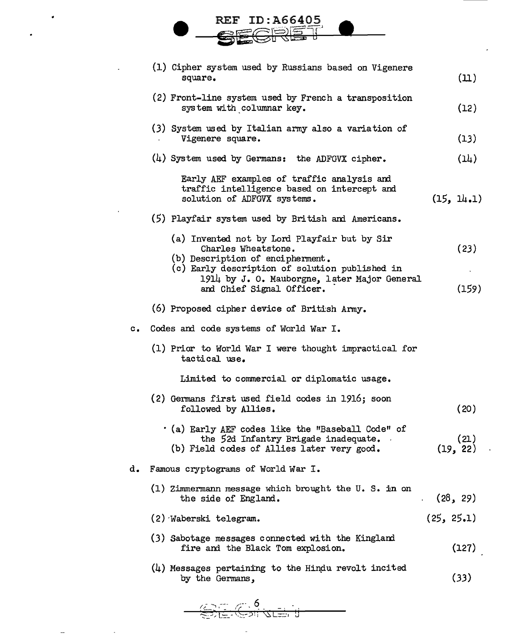

ł.

|    | (1) Cipher system used by Russians based on Vigenere<br>square.                                                                                           |            | (11)             |
|----|-----------------------------------------------------------------------------------------------------------------------------------------------------------|------------|------------------|
|    | (2) Front-line system used by French a transposition<br>system with columnar key.                                                                         |            | (12)             |
|    | (3) System used by Italian army also a variation of<br>Vigenere square.                                                                                   |            | (13)             |
|    | $(4)$ System used by Germans: the ADFGVX cipher.                                                                                                          |            | (14)             |
|    | Early AEF examples of traffic analysis and<br>traffic intelligence based on intercept and<br>solution of ADFGVX systems.                                  |            | (15, 14.1)       |
|    | (5) Playfair system used by British and Americans.                                                                                                        |            |                  |
|    | (a) Invented not by Lord Playfair but by Sir<br>Charles Wheatstone.<br>(b) Description of encipherment.<br>(c) Early description of solution published in |            | (23)             |
|    | 1914 by J. O. Mauborgne, later Major General<br>and Chief Signal Officer.                                                                                 |            | (159)            |
|    | (6) Proposed cipher device of British Army.                                                                                                               |            |                  |
|    | c. Codes and code systems of World War I.                                                                                                                 |            |                  |
|    | (1) Prior to World War I were thought impractical for<br>tactical use.                                                                                    |            |                  |
|    | Limited to commercial or diplomatic usage.                                                                                                                |            |                  |
|    | (2) Germans first used field codes in 1916; soon<br>followed by Allies.                                                                                   |            | (20)             |
|    | ' (a) Early AEF codes like the "Baseball Code" of<br>the 52d Infantry Brigade inadequate.<br>(b) Field codes of Allies later very good.                   |            | (21)<br>(19, 22) |
| d. | Famous cryptograms of World War I.                                                                                                                        |            |                  |
|    | (1) Zimmermann message which brought the U.S. in on<br>the side of England.                                                                               | (28, 29)   |                  |
|    | (2) Waberski telegram.                                                                                                                                    | (25, 25.1) |                  |
|    | (3) Sabotage messages connected with the Kingland<br>fire and the Black Tom explosion.                                                                    |            | (127)            |
|    | $(4)$ Messages pertaining to the Hindu revolt incited<br>by the Germans,                                                                                  |            | (33)             |
|    | (257.6)                                                                                                                                                   |            |                  |

÷,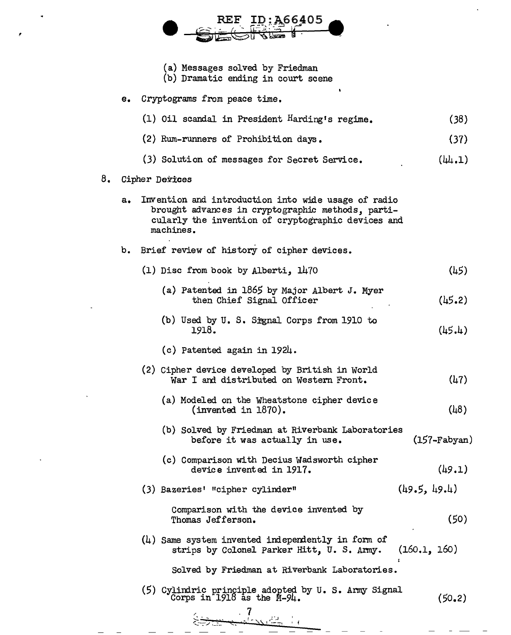

- (a) Messages solved by Friedman
- (b) Dramatic ending in court scene

|    | $e_{\bullet}$ | Cryptograms from peace time.                                                                                                                                                |                  |  |                                 |              |
|----|---------------|-----------------------------------------------------------------------------------------------------------------------------------------------------------------------------|------------------|--|---------------------------------|--------------|
|    |               | (1) Oil scandal in President Harding's regime.                                                                                                                              | (38)             |  |                                 |              |
|    |               | (2) Rum-runners of Prohibition days.                                                                                                                                        | (37)             |  |                                 |              |
|    |               | (3) Solution of messages for Secret Service.                                                                                                                                | (44.1)           |  |                                 |              |
| 8. |               | Cipher Devices                                                                                                                                                              |                  |  |                                 |              |
|    | a.            | Invention and introduction into wide usage of radio<br>brought advances in cryptographic methods, parti-<br>cularly the invention of cryptographic devices and<br>machines. |                  |  |                                 |              |
|    |               | b. Brief review of history of cipher devices.                                                                                                                               |                  |  |                                 |              |
|    |               | (1) Disc from book by Alberti, 1470                                                                                                                                         | (L5)             |  |                                 |              |
|    |               | (a) Patented in 1865 by Major Albert J. Myer<br>then Chief Signal Officer                                                                                                   | (45.2)           |  |                                 |              |
|    |               | (b) Used by U. S. Signal Corps from 1910 to<br>1918.                                                                                                                        | (45.4)           |  |                                 |              |
|    |               | $(c)$ Patented again in 1924.                                                                                                                                               |                  |  |                                 |              |
|    |               | (2) Cipher device developed by British in World<br>War I and distributed on Western Front.                                                                                  | (47)             |  |                                 |              |
|    |               | (a) Modeled on the Wheatstone cipher device<br>(invented in 1870).                                                                                                          | (48)             |  |                                 |              |
|    |               | (b) Solved by Friedman at Riverbank Laboratories<br>before it was actually in use.                                                                                          | $(157 - Fabyan)$ |  |                                 |              |
|    |               | (c) Comparison with Decius Wadsworth cipher<br>device invented in 1917.                                                                                                     | (49.1)           |  |                                 |              |
|    |               |                                                                                                                                                                             |                  |  | (3) Bazeries' "cipher cylinder" | (49.5, 49.4) |
|    |               | Comparison with the device invented by<br>Thomas Jefferson.                                                                                                                 | (50)             |  |                                 |              |
|    |               | $(4)$ Same system invented independently in form of<br>strips by Colonel Parker Hitt, U.S. Army.                                                                            | (160.1, 160)     |  |                                 |              |
|    |               | Solved by Friedman at Riverbank Laboratories.                                                                                                                               |                  |  |                                 |              |
|    |               | (5) Cylindric principle adopted by U.S. Army Signal Corps in 1918 as the $M=94$ .                                                                                           | (50.2)           |  |                                 |              |

/ . 7 ....:\_ - ... - • I~ **r:·.J** r:.\_-\_J./,: •. <: ..... **\\1-\_, <sup>11</sup>**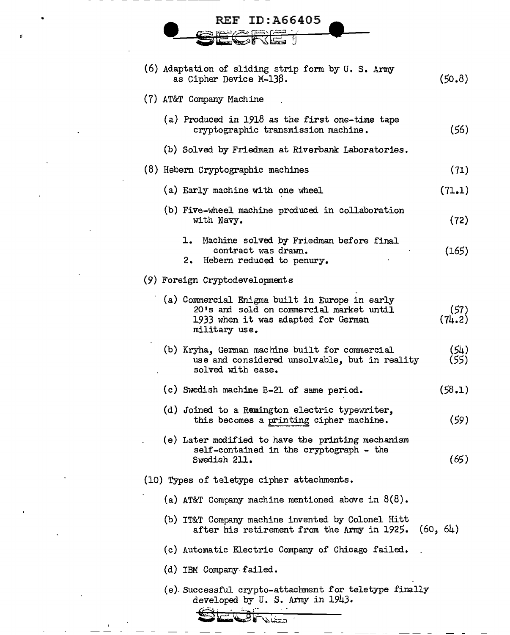| ID:A66405<br>REF                                                                                                                                   |                |
|----------------------------------------------------------------------------------------------------------------------------------------------------|----------------|
| (6) Adaptation of sliding strip form by U.S. Army<br>as Cipher Device M-138.                                                                       | (50.8)         |
| (7) AT&T Company Machine                                                                                                                           |                |
| (a) Produced in $1918$ as the first one-time tape<br>cryptographic transmission machine.                                                           | (56)           |
| (b) Solved by Friedman at Riverbank Laboratories.                                                                                                  |                |
| (8) Hebern Cryptographic machines                                                                                                                  | (71)           |
| (a) Early machine with one wheel                                                                                                                   | (71.1)         |
| (b) Five-wheel machine produced in collaboration<br>with Navy.                                                                                     | (72)           |
| 1. Machine solved by Friedman before final<br>contract was drawn.<br>Hebern reduced to penury.<br>2.                                               | (165)          |
| (9) Foreign Cryptodevelopments                                                                                                                     |                |
| (a) Commercial Enigma built in Europe in early<br>20's and sold on commercial market until<br>1933 when it was adapted for German<br>military use. | (57)<br>(74.2) |
| (b) Kryha, German machine built for commercial<br>use and considered unsolvable, but in reality<br>solved with ease.                               | (54)<br>(55)   |
| (c) Swedish machine B-21 of same period.                                                                                                           | (58.1)         |
| (d) Joined to a Remington electric typewriter,<br>this becomes a printing cipher machine.                                                          | (59)           |
| (e) Later modified to have the printing mechanism<br>self-contained in the cryptograph - the<br>Swedish 211.                                       | (65)           |
| (10) Types of teletype cipher attachments.                                                                                                         |                |
| (a) AT&T Company machine mentioned above in $8(8)$ .                                                                                               |                |
| (b) IT&T Company machine invented by Colonel Hitt<br>after his retirement from the Army in 1925.                                                   | (60, 64)       |
| (c) Automatic Electric Company of Chicago failed.                                                                                                  |                |
| (d) IBM Company failed.                                                                                                                            |                |
| (e) Successful crypto-attachment for teletype finally<br>developed by U.S. Army in 1943.                                                           |                |

 $\mathcal{L}(\mathcal{L}^{\mathcal{L}})$  and  $\mathcal{L}(\mathcal{L}^{\mathcal{L}})$  and  $\mathcal{L}(\mathcal{L}^{\mathcal{L}})$ 

 $\mathcal{L}^{\mathcal{L}}(\mathcal{L}^{\mathcal{L}}(\mathcal{L}^{\mathcal{L}}(\mathcal{L}^{\mathcal{L}}(\mathcal{L}^{\mathcal{L}}(\mathcal{L}^{\mathcal{L}}(\mathcal{L}^{\mathcal{L}}(\mathcal{L}^{\mathcal{L}}(\mathcal{L}^{\mathcal{L}}(\mathcal{L}^{\mathcal{L}}(\mathcal{L}^{\mathcal{L}}(\mathcal{L}^{\mathcal{L}}(\mathcal{L}^{\mathcal{L}}(\mathcal{L}^{\mathcal{L}}(\mathcal{L}^{\mathcal{L}}(\mathcal{L}^{\mathcal{L}}(\mathcal{L}^{\mathcal{L$ 

 $\mathcal{L}(\mathcal{A})$  .

 $\mathcal{L}(\mathcal{A})$  and  $\mathcal{L}(\mathcal{A})$  .

 $\mathcal{L}^{\text{max}}(\mathcal{A})$  .

Sonica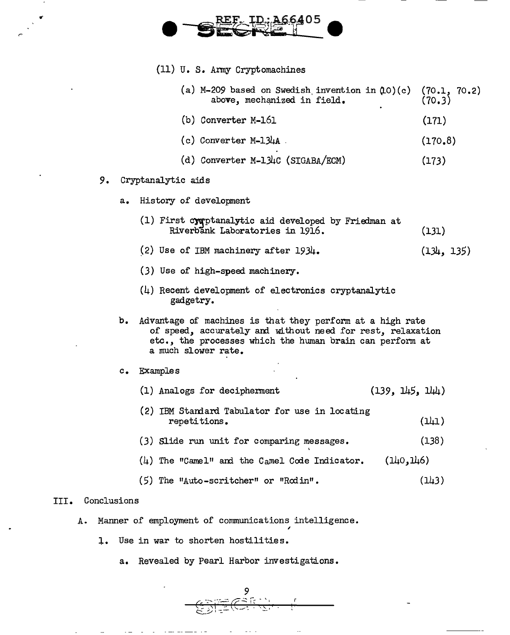

|    |               | (11) U.S. Army Cryptomachines                                                                                                                                                                              |                        |
|----|---------------|------------------------------------------------------------------------------------------------------------------------------------------------------------------------------------------------------------|------------------------|
|    |               | (a) M-209 based on Swedish invention in $(10)(c)$<br>above, mechanized in field.                                                                                                                           | (70.1, 70.2)<br>(70.3) |
|    |               | (b) Converter M-161                                                                                                                                                                                        | (171)                  |
|    |               | $(c)$ Converter M-134A.                                                                                                                                                                                    | (170.8)                |
|    |               | (d) Converter M-134C (SIGABA/ECM)                                                                                                                                                                          | (173)                  |
| 9. |               | Cryptanalytic aids                                                                                                                                                                                         |                        |
|    | a.            | History of development                                                                                                                                                                                     |                        |
|    |               | (1) First cymptanalytic aid developed by Friedman at<br>Riverbank Laboratories in 1916.                                                                                                                    | (131)                  |
|    |               | (2) Use of IBM machinery after $1934.$                                                                                                                                                                     | (134, 135)             |
|    |               | (3) Use of high-speed machinery.                                                                                                                                                                           |                        |
|    |               | $(4)$ Recent development of electronics cryptanalytic<br>gadgetry.                                                                                                                                         |                        |
|    | b,            | Advantage of machines is that they perform at a high rate<br>of speed, accurately and without need for rest, relaxation<br>etc., the processes which the human brain can perform at<br>a much slower rate. |                        |
|    | $c_{\bullet}$ | <b>Examples</b>                                                                                                                                                                                            |                        |
|    |               | (139, 145, 144)<br>(1) Analogs for decipherment                                                                                                                                                            |                        |
|    |               | (2) IBM Standard Tabulator for use in locating<br>repetitions.                                                                                                                                             | (141)                  |
|    |               | (3) Slide run unit for comparing messages.                                                                                                                                                                 | (138)                  |
|    |               | (140, 146)<br>$(4)$ The "Camel" and the Camel Code Indicator.                                                                                                                                              |                        |
|    |               | (5) The "Auto-scritcher" or "Rodin".                                                                                                                                                                       | (143)                  |

## III. Conclusions

*(''* 

A. Manner of employment of communications intelligence.

and all the set of  $\mathcal{O}(\mathcal{A})$  . The set of  $\mathcal{O}(\mathcal{A})$ 

- 1. Use in war to shorten hostilities.
	- a. Revealed by Pearl Harbor investigations.